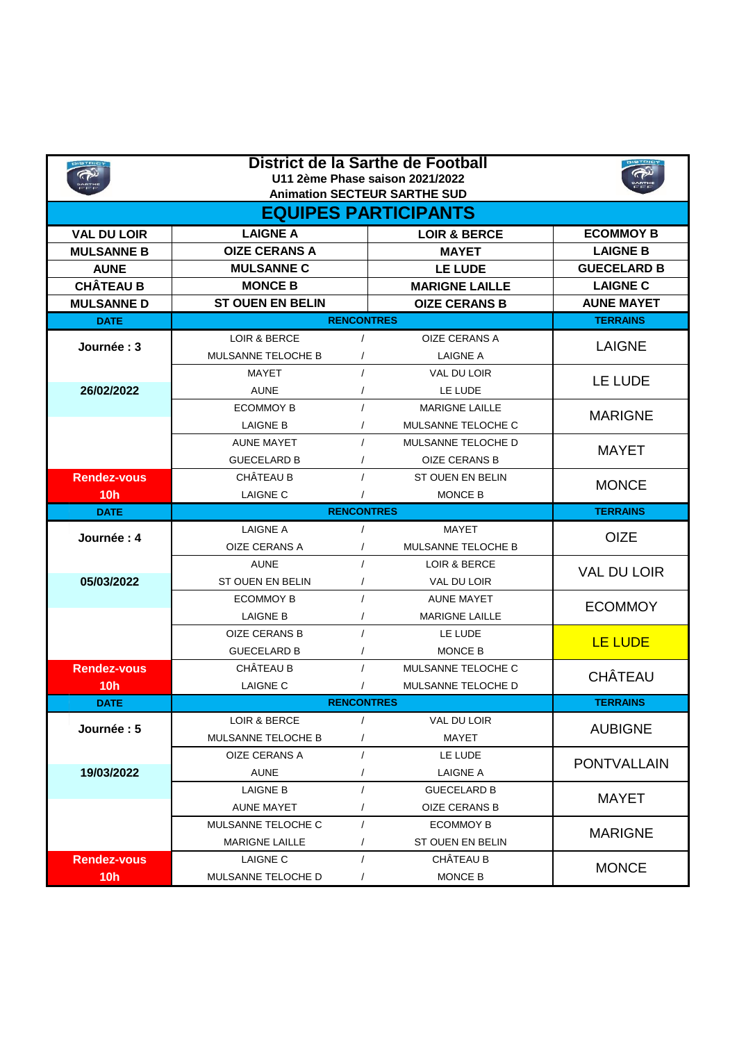|                             | District de la Sarthe de Football<br>U11 2ème Phase saison 2021/2022<br><b>Animation SECTEUR SARTHE SUD</b> |                   |                         |                    |  |  |  |
|-----------------------------|-------------------------------------------------------------------------------------------------------------|-------------------|-------------------------|--------------------|--|--|--|
| <b>EQUIPES PARTICIPANTS</b> |                                                                                                             |                   |                         |                    |  |  |  |
| <b>VAL DU LOIR</b>          | <b>LAIGNE A</b>                                                                                             |                   | <b>LOIR &amp; BERCE</b> | <b>ECOMMOY B</b>   |  |  |  |
| <b>MULSANNE B</b>           | <b>OIZE CERANS A</b>                                                                                        |                   | <b>MAYET</b>            | <b>LAIGNE B</b>    |  |  |  |
| <b>AUNE</b>                 | <b>MULSANNE C</b>                                                                                           |                   | LE LUDE                 | <b>GUECELARD B</b> |  |  |  |
| <b>CHÂTEAU B</b>            | <b>MONCE B</b>                                                                                              |                   | <b>MARIGNE LAILLE</b>   | <b>LAIGNE C</b>    |  |  |  |
| <b>MULSANNE D</b>           | <b>ST OUEN EN BELIN</b>                                                                                     |                   | <b>OIZE CERANS B</b>    | <b>AUNE MAYET</b>  |  |  |  |
| <b>DATE</b>                 | <b>RENCONTRES</b>                                                                                           | <b>TERRAINS</b>   |                         |                    |  |  |  |
| Journée: 3                  | LOIR & BERCE                                                                                                | $\prime$          | OIZE CERANS A           | <b>LAIGNE</b>      |  |  |  |
|                             | MULSANNE TELOCHE B                                                                                          |                   | LAIGNE A                |                    |  |  |  |
|                             | MAYET                                                                                                       |                   | <b>VAL DU LOIR</b>      | LE LUDE            |  |  |  |
| 26/02/2022                  | <b>AUNE</b>                                                                                                 |                   | LE LUDE                 |                    |  |  |  |
|                             | <b>ECOMMOY B</b>                                                                                            |                   | <b>MARIGNE LAILLE</b>   | <b>MARIGNE</b>     |  |  |  |
|                             | <b>LAIGNE B</b>                                                                                             |                   | MULSANNE TELOCHE C      |                    |  |  |  |
|                             | <b>AUNE MAYET</b>                                                                                           |                   | MULSANNE TELOCHE D      | <b>MAYET</b>       |  |  |  |
|                             | <b>GUECELARD B</b>                                                                                          |                   | <b>OIZE CERANS B</b>    |                    |  |  |  |
| <b>Rendez-vous</b>          | CHÂTEAU B                                                                                                   |                   | <b>ST OUEN EN BELIN</b> | <b>MONCE</b>       |  |  |  |
| 10 <sub>h</sub>             | <b>LAIGNE C</b>                                                                                             |                   | MONCE B                 |                    |  |  |  |
| <b>DATE</b>                 | <b>RENCONTRES</b>                                                                                           | <b>TERRAINS</b>   |                         |                    |  |  |  |
|                             | <b>LAIGNE A</b>                                                                                             |                   | MAYET                   |                    |  |  |  |
|                             |                                                                                                             |                   |                         |                    |  |  |  |
| Journée: 4                  | OIZE CERANS A                                                                                               | $\prime$          | MULSANNE TELOCHE B      | <b>OIZE</b>        |  |  |  |
|                             | <b>AUNE</b>                                                                                                 | $\prime$          | LOIR & BERCE            |                    |  |  |  |
| 05/03/2022                  | ST OUEN EN BELIN                                                                                            |                   | VAL DU LOIR             | <b>VAL DU LOIR</b> |  |  |  |
|                             | <b>ECOMMOY B</b>                                                                                            |                   | <b>AUNE MAYET</b>       |                    |  |  |  |
|                             | <b>LAIGNE B</b>                                                                                             |                   | <b>MARIGNE LAILLE</b>   | <b>ECOMMOY</b>     |  |  |  |
|                             | OIZE CERANS B                                                                                               |                   | LE LUDE                 |                    |  |  |  |
|                             | <b>GUECELARD B</b>                                                                                          |                   | <b>MONCE B</b>          | LE LUDE            |  |  |  |
| <b>Rendez-vous</b>          | CHÂTEAU B                                                                                                   | $\sqrt{ }$        | MULSANNE TELOCHE C      |                    |  |  |  |
| 10 <sub>h</sub>             | <b>LAIGNE C</b>                                                                                             |                   | MULSANNE TELOCHE D      | <b>CHÂTEAU</b>     |  |  |  |
| <b>DATE</b>                 |                                                                                                             | <b>RENCONTRES</b> |                         | <b>TERRAINS</b>    |  |  |  |
|                             | LOIR & BERCE                                                                                                | $\prime$          | VAL DU LOIR             |                    |  |  |  |
| Journée: 5                  | MULSANNE TELOCHE B                                                                                          |                   | MAYET                   | <b>AUBIGNE</b>     |  |  |  |
|                             | OIZE CERANS A                                                                                               |                   | LE LUDE                 |                    |  |  |  |
| 19/03/2022                  | <b>AUNE</b>                                                                                                 |                   | LAIGNE A                | <b>PONTVALLAIN</b> |  |  |  |
|                             | LAIGNE B                                                                                                    |                   | <b>GUECELARD B</b>      |                    |  |  |  |
|                             | <b>AUNE MAYET</b>                                                                                           |                   | OIZE CERANS B           | <b>MAYET</b>       |  |  |  |
|                             | MULSANNE TELOCHE C                                                                                          | $\prime$          | <b>ECOMMOY B</b>        |                    |  |  |  |
|                             | <b>MARIGNE LAILLE</b>                                                                                       |                   | ST OUEN EN BELIN        | <b>MARIGNE</b>     |  |  |  |
| <b>Rendez-vous</b>          | LAIGNE C                                                                                                    |                   | CHÂTEAU B               | <b>MONCE</b>       |  |  |  |